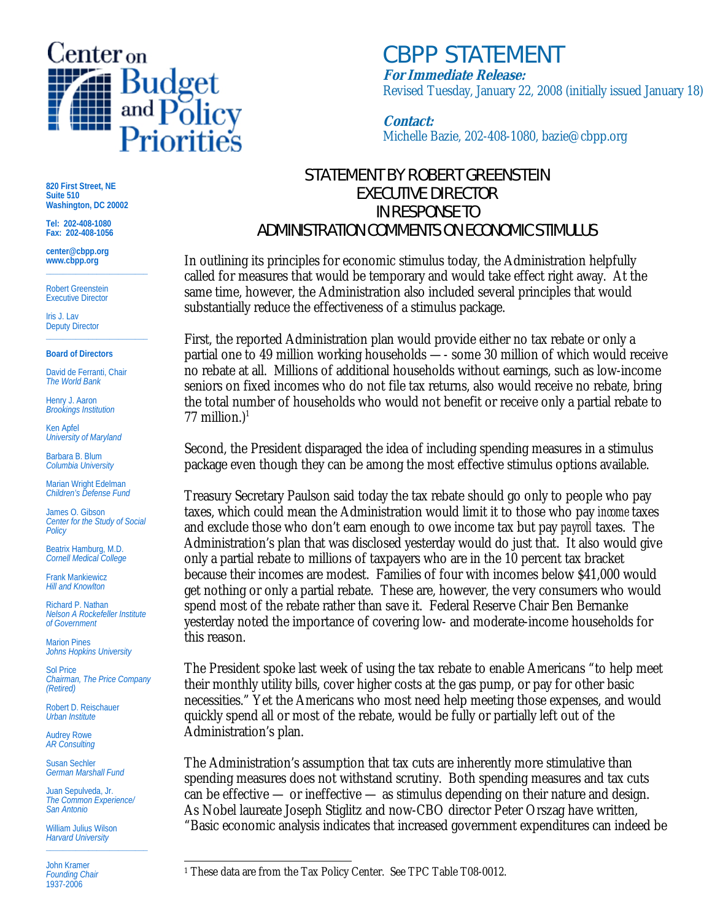

## *CBPP STATEMENT* **For Immediate Release:**

Revised Tuesday, January 22, 2008 (initially issued January 18)

**Contact:** Michelle Bazie, 202-408-1080, bazie@cbpp.org

## STATEMENT BY ROBERT GREENSTEIN EXECUTIVE DIRECTOR IN RESPONSE TO ADMINISTRATION COMMENTS ON ECONOMIC STIMULUS

In outlining its principles for economic stimulus today, the Administration helpfully called for measures that would be temporary and would take effect right away. At the same time, however, the Administration also included several principles that would substantially reduce the effectiveness of a stimulus package.

First, the reported Administration plan would provide either no tax rebate or only a partial one to 49 million working households —- some 30 million of which would receive no rebate at all. Millions of additional households without earnings, such as low-income seniors on fixed incomes who do not file tax returns, also would receive no rebate, bring the total number of households who would not benefit or receive only a partial rebate to 77 million.) $1$ 

Second, the President disparaged the idea of including spending measures in a stimulus package even though they can be among the most effective stimulus options available.

Treasury Secretary Paulson said today the tax rebate should go only to people who pay taxes, which could mean the Administration would limit it to those who pay *income* taxes and exclude those who don't earn enough to owe income tax but pay *payroll* taxes. The Administration's plan that was disclosed yesterday would do just that. It also would give only a partial rebate to millions of taxpayers who are in the 10 percent tax bracket because their incomes are modest. Families of four with incomes below \$41,000 would get nothing or only a partial rebate. These are, however, the very consumers who would spend most of the rebate rather than save it. Federal Reserve Chair Ben Bernanke yesterday noted the importance of covering low- and moderate-income households for this reason.

The President spoke last week of using the tax rebate to enable Americans "to help meet their monthly utility bills, cover higher costs at the gas pump, or pay for other basic necessities." Yet the Americans who most need help meeting those expenses, and would quickly spend all or most of the rebate, would be fully or partially left out of the Administration's plan.

The Administration's assumption that tax cuts are inherently more stimulative than spending measures does not withstand scrutiny. Both spending measures and tax cuts can be effective — or ineffective — as stimulus depending on their nature and design. As Nobel laureate Joseph Stiglitz and now-CBO director Peter Orszag have written, "Basic economic analysis indicates that increased government expenditures can indeed be

**820 First Street, NE Suite 510 Washington, DC 20002** 

**Tel: 202-408-1080 Fax: 202-408-1056** 

**center@cbpp.org www.cbpp.org \_\_\_\_\_\_\_\_\_\_\_\_\_\_\_\_\_\_\_\_\_\_\_\_** 

Robert Greenstein Executive Director

Iris J. Lav Deputy Director **\_\_\_\_\_\_\_\_\_\_\_\_\_\_\_\_\_\_\_\_\_\_\_\_** 

## **Board of Directors**

David de Ferranti, Chair *The World Bank* 

Henry J. Aaron *Brookings Institution* 

Ken Apfel *University of Maryland* 

Barbara B. Blum *Columbia University* 

Marian Wright Edelman *Children's Defense Fund* 

James O. Gibson *Center for the Study of Social Policy* 

Beatrix Hamburg, M.D. *Cornell Medical College* 

Frank Mankiewicz *Hill and Knowlton* 

Richard P. Nathan *Nelson A Rockefeller Institute of Government* 

Marion Pines *Johns Hopkins University* 

Sol Price *Chairman, The Price Company (Retired)* 

Robert D. Reischauer *Urban Institute* 

Audrey Rowe *AR Consulting* 

Susan Sechler *German Marshall Fund* 

Juan Sepulveda, Jr. *The Common Experience/ San Antonio* 

William Julius Wilson *Harvard University*  **\_\_\_\_\_\_\_\_\_\_\_\_\_\_\_\_\_\_\_\_\_\_\_\_** 

John Kramer *Founding Chair*  1937-2006

l <sup>1</sup> These data are from the Tax Policy Center. See TPC Table T08-0012.